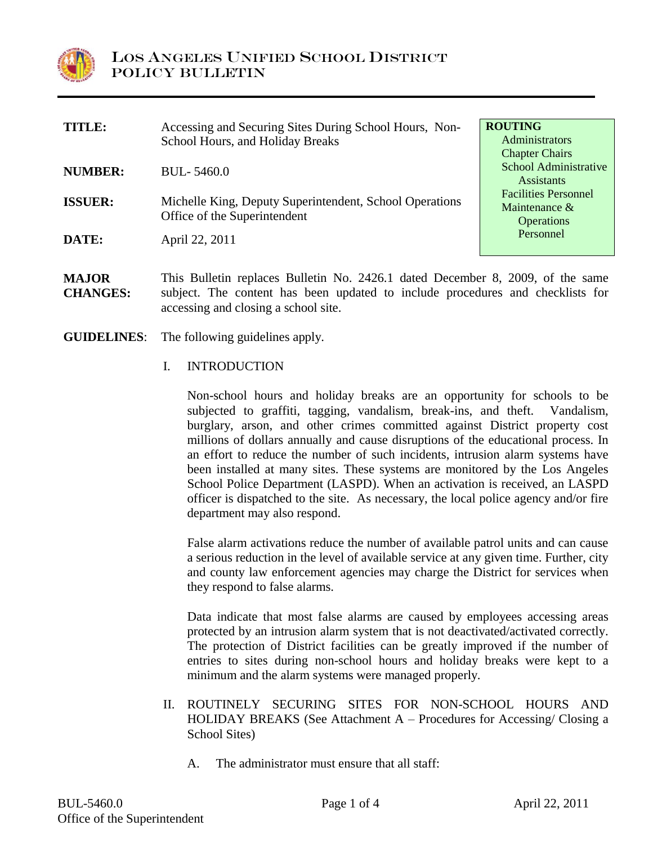

| <b>TITLE:</b>  | Accessing and Securing Sites During School Hours, Non-<br>School Hours, and Holiday Breaks | <b>ROUTING</b><br>Administrators                                           |
|----------------|--------------------------------------------------------------------------------------------|----------------------------------------------------------------------------|
| <b>NUMBER:</b> | <b>BUL-5460.0</b>                                                                          | <b>Chapter Chairs</b><br><b>School Administrative</b><br><b>Assistants</b> |
| <b>ISSUER:</b> | Michelle King, Deputy Superintendent, School Operations<br>Office of the Superintendent    | <b>Facilities Personnel</b><br>Maintenance $\&$<br><b>Operations</b>       |
| <b>DATE:</b>   | April 22, 2011                                                                             | Personnel                                                                  |
|                |                                                                                            |                                                                            |

**MAJOR CHANGES:** This Bulletin replaces Bulletin No. 2426.1 dated December 8, 2009, of the same subject. The content has been updated to include procedures and checklists for accessing and closing a school site.

**GUIDELINES**: The following guidelines apply.

## I. INTRODUCTION

Non-school hours and holiday breaks are an opportunity for schools to be subjected to graffiti, tagging, vandalism, break-ins, and theft. Vandalism, burglary, arson, and other crimes committed against District property cost millions of dollars annually and cause disruptions of the educational process. In an effort to reduce the number of such incidents, intrusion alarm systems have been installed at many sites. These systems are monitored by the Los Angeles School Police Department (LASPD). When an activation is received, an LASPD officer is dispatched to the site. As necessary, the local police agency and/or fire department may also respond.

False alarm activations reduce the number of available patrol units and can cause a serious reduction in the level of available service at any given time. Further, city and county law enforcement agencies may charge the District for services when they respond to false alarms.

Data indicate that most false alarms are caused by employees accessing areas protected by an intrusion alarm system that is not deactivated/activated correctly. The protection of District facilities can be greatly improved if the number of entries to sites during non-school hours and holiday breaks were kept to a minimum and the alarm systems were managed properly.

- II. ROUTINELY SECURING SITES FOR NON-SCHOOL HOURS AND HOLIDAY BREAKS (See Attachment A – Procedures for Accessing/ Closing a School Sites)
	- A. The administrator must ensure that all staff: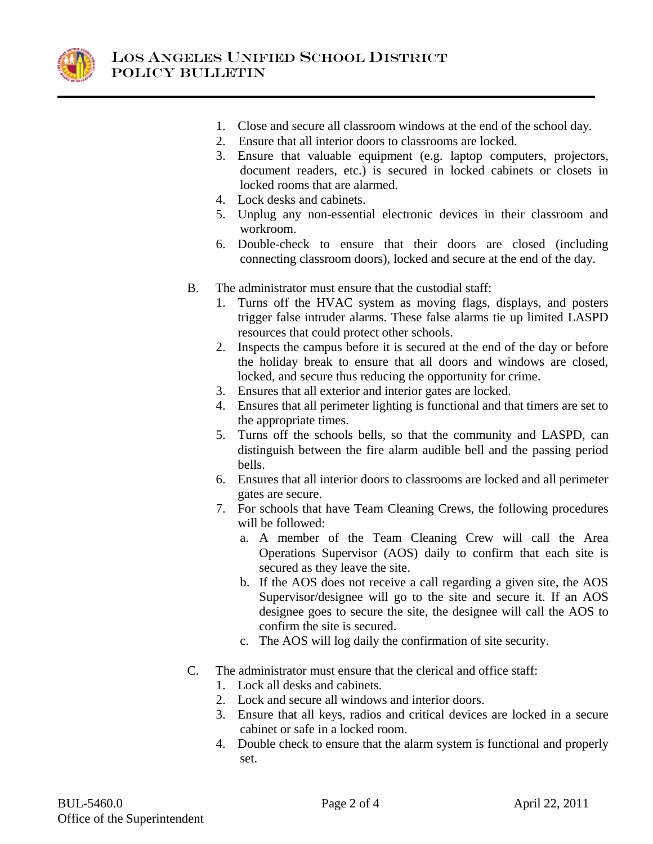

- 1. Close and secure all classroom windows at the end of the school day.
- 2. Ensure that all interior doors to classrooms are locked.
- 3. Ensure that valuable equipment (e.g. laptop computers, projectors, document readers, etc.) is secured in locked cabinets or closets in locked rooms that are alarmed.
- 4. Lock desks and cabinets.
- 5. Unplug any non-essential electronic devices in their classroom and workroom.
- 6. Double-check to ensure that their doors are closed (including connecting classroom doors), locked and secure at the end of the day.
- B. The administrator must ensure that the custodial staff:
	- 1. Turns off the HVAC system as moving flags, displays, and posters trigger false intruder alarms. These false alarms tie up limited LASPD resources that could protect other schools.
	- 2. Inspects the campus before it is secured at the end of the day or before the holiday break to ensure that all doors and windows are closed, locked, and secure thus reducing the opportunity for crime.
	- 3. Ensures that all exterior and interior gates are locked.
	- 4. Ensures that all perimeter lighting is functional and that timers are set to the appropriate times.
	- 5. Turns off the schools bells, so that the community and LASPD, can distinguish between the fire alarm audible bell and the passing period bells.
	- 6. Ensures that all interior doors to classrooms are locked and all perimeter gates are secure.
	- 7. For schools that have Team Cleaning Crews, the following procedures will be followed:
		- a. A member of the Team Cleaning Crew will call the Area Operations Supervisor (AOS) daily to confirm that each site is secured as they leave the site.
		- b. If the AOS does not receive a call regarding a given site, the AOS Supervisor/designee will go to the site and secure it. If an AOS designee goes to secure the site, the designee will call the AOS to confirm the site is secured.
		- c. The AOS will log daily the confirmation of site security.
- C. The administrator must ensure that the clerical and office staff:
	- 1. Lock all desks and cabinets.
	- 2. Lock and secure all windows and interior doors.
	- 3. Ensure that all keys, radios and critical devices are locked in a secure cabinet or safe in a locked room.
	- 4. Double check to ensure that the alarm system is functional and properly set.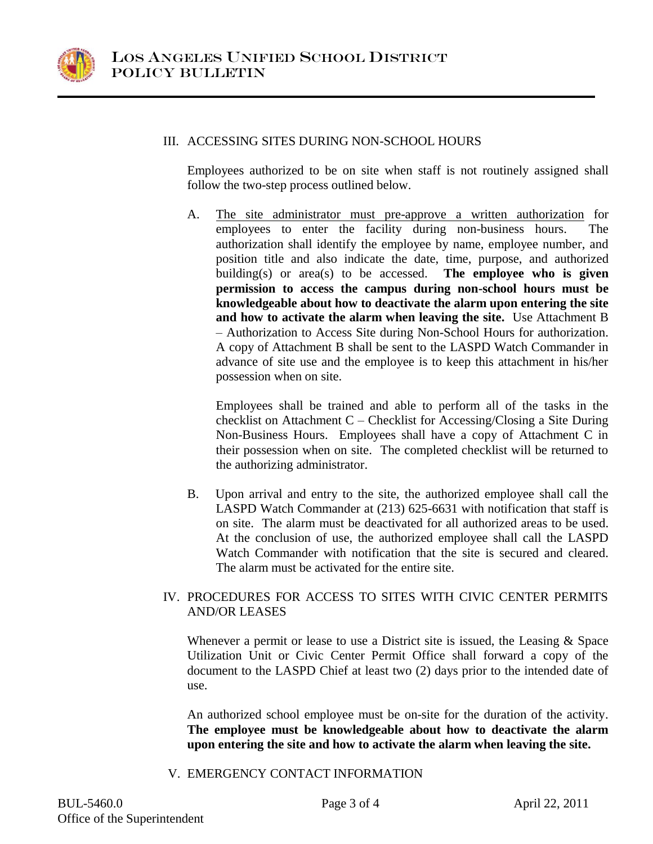

## III. ACCESSING SITES DURING NON-SCHOOL HOURS

Employees authorized to be on site when staff is not routinely assigned shall follow the two-step process outlined below.

A. The site administrator must pre-approve a written authorization for employees to enter the facility during non-business hours. The authorization shall identify the employee by name, employee number, and position title and also indicate the date, time, purpose, and authorized building(s) or area(s) to be accessed. **The employee who is given permission to access the campus during non-school hours must be knowledgeable about how to deactivate the alarm upon entering the site and how to activate the alarm when leaving the site.** Use Attachment B – Authorization to Access Site during Non-School Hours for authorization. A copy of Attachment B shall be sent to the LASPD Watch Commander in advance of site use and the employee is to keep this attachment in his/her possession when on site.

Employees shall be trained and able to perform all of the tasks in the checklist on Attachment C – Checklist for Accessing/Closing a Site During Non-Business Hours. Employees shall have a copy of Attachment C in their possession when on site. The completed checklist will be returned to the authorizing administrator.

B. Upon arrival and entry to the site, the authorized employee shall call the LASPD Watch Commander at (213) 625-6631 with notification that staff is on site. The alarm must be deactivated for all authorized areas to be used. At the conclusion of use, the authorized employee shall call the LASPD Watch Commander with notification that the site is secured and cleared. The alarm must be activated for the entire site.

## IV. PROCEDURES FOR ACCESS TO SITES WITH CIVIC CENTER PERMITS AND/OR LEASES

Whenever a permit or lease to use a District site is issued, the Leasing & Space Utilization Unit or Civic Center Permit Office shall forward a copy of the document to the LASPD Chief at least two (2) days prior to the intended date of use.

An authorized school employee must be on-site for the duration of the activity. **The employee must be knowledgeable about how to deactivate the alarm upon entering the site and how to activate the alarm when leaving the site.**

## V. EMERGENCY CONTACT INFORMATION